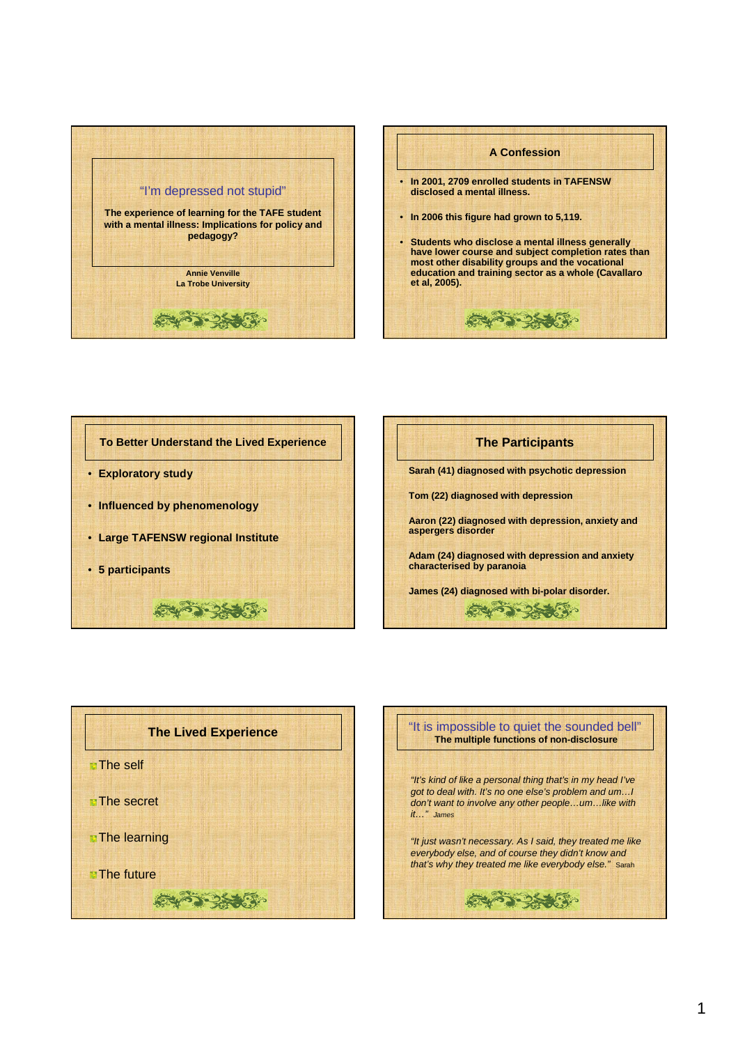







**Aaron (22) diagnosed with depression, anxiety and aspergers disorder** 

**Adam (24) diagnosed with depression and anxiety characterised by paranoia**

ミーマンメディ

**James (24) diagnosed with bi-polar disorder.**